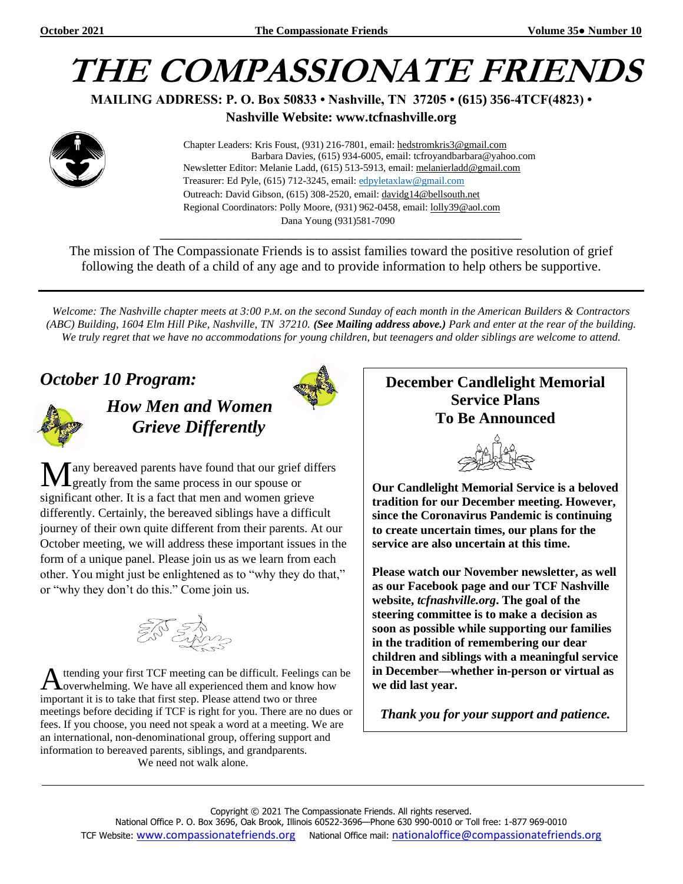# **THE COMPASSIONATE FRIENDS**

**MAILING ADDRESS: P. O. Box 50833 • Nashville, TN 37205 • (615) 356-4TCF(4823) •**

**Nashville Website: www.tcfnashville.org**



 Chapter Leaders: Kris Foust, (931) 216-7801, email: [hedstromkris3@gmail.com](mailto:hedstromkris3@gmail.com) Barbara Davies, (615) 934-6005, email: tcfroyandbarbara@yahoo.com Newsletter Editor: Melanie Ladd, (615) 513-5913, email: [melanierladd@gmail.com](mailto:melanierladd@gmail.com)  Treasurer: Ed Pyle, (615) 712-3245, email[: edpyletaxlaw@gmail.com](mailto:edpyletaxlaw@gmail.com) Outreach: David Gibson, (615) 308-2520, email: davidg14@bellsouth.net Regional Coordinators: Polly Moore, (931) 962-0458, email: [lolly39@aol.com](mailto:lolly39@aol.com) Dana Young (931)581-7090

The mission of The Compassionate Friends is to assist families toward the positive resolution of grief following the death of a child of any age and to provide information to help others be supportive.

*\_\_\_\_\_\_\_\_\_\_\_\_\_\_\_\_\_\_\_\_\_\_\_\_\_\_\_\_\_\_\_\_\_\_\_\_\_\_\_\_\_\_\_\_\_\_\_\_\_\_\_\_\_\_\_\_\_\_\_\_\_\_\_\_\_*

*Welcome: The Nashville chapter meets at 3:00 P.M. on the second Sunday of each month in the American Builders & Contractors (ABC) Building, 1604 Elm Hill Pike, Nashville, TN 37210. (See Mailing address above.) Park and enter at the rear of the building. We truly regret that we have no accommodations for young children, but teenagers and older siblings are welcome to attend.*

### *October 10 Program:*



*How Men and Women Grieve Differently*

any bereaved parents have found that our grief differs greatly from the same process in our spouse or significant other. It is a fact that men and women grieve differently. Certainly, the bereaved siblings have a difficult journey of their own quite different from their parents. At our October meeting, we will address these important issues in the form of a unique panel. Please join us as we learn from each other. You might just be enlightened as to "why they do that," or "why they don't do this." Come join us. M



ttending your first TCF meeting can be difficult. Feelings can be A ttending your first TCF meeting can be difficult. Feelings can<br>
Noverwhelming. We have all experienced them and know how important it is to take that first step. Please attend two or three meetings before deciding if TCF is right for you. There are no dues or fees. If you choose, you need not speak a word at a meeting. We are an international, non-denominational group, offering support and information to bereaved parents, siblings, and grandparents. We need not walk alone.

#### **December Candlelight Memorial Service Plans To Be Announced**



**Our Candlelight Memorial Service is a beloved tradition for our December meeting. However, since the Coronavirus Pandemic is continuing to create uncertain times, our plans for the service are also uncertain at this time.**

**Please watch our November newsletter, as well as our Facebook page and our TCF Nashville website,** *tcfnashville.org***. The goal of the steering committee is to make a decision as soon as possible while supporting our families in the tradition of remembering our dear children and siblings with a meaningful service in December—whether in-person or virtual as we did last year.**

*Thank you for your support and patience.*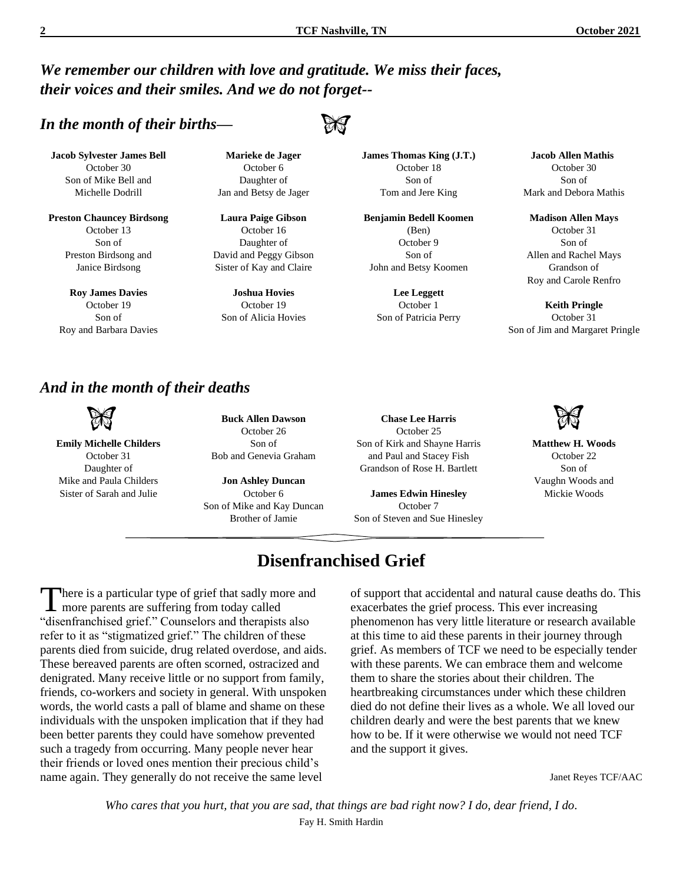*We remember our children with love and gratitude. We miss their faces, their voices and their smiles. And we do not forget--*

#### *In the month of their births—*

**Jacob Sylvester James Bell** October 30 Son of Mike Bell and Michelle Dodrill

**Preston Chauncey Birdsong** October 13 Son of Preston Birdsong and Janice Birdsong

**Roy James Davies** October 19 Son of Roy and Barbara Davies

**Marieke de Jager** October 6 Daughter of Jan and Betsy de Jager

**Laura Paige Gibson** October 16 Daughter of David and Peggy Gibson Sister of Kay and Claire

**Joshua Hovies** October 19 Son of Alicia Hovies **James Thomas King (J.T.)** October 18 Son of Tom and Jere King

**Benjamin Bedell Koomen** (Ben) October 9 Son of John and Betsy Koomen

> **Lee Leggett** October 1 Son of Patricia Perry

 **Jacob Allen Mathis** October 30 Son of Mark and Debora Mathis

**Madison Allen Mays** October 31 Son of Allen and Rachel Mays Grandson of Roy and Carole Renfro

**Keith Pringle** October 31 Son of Jim and Margaret Pringle

> **Matthew H. Woods** October 22 Son of Vaughn Woods and Mickie Woods

#### *And in the month of their deaths*

**Emily Michelle Childers** October 31 Daughter of Mike and Paula Childers Sister of Sarah and Julie

**Buck Allen Dawson** October 26 Son of Bob and Genevia Graham

**Jon Ashley Duncan** October 6 Son of Mike and Kay Duncan Brother of Jamie

**Chase Lee Harris** October 25 Son of Kirk and Shayne Harris and Paul and Stacey Fish Grandson of Rose H. Bartlett

**James Edwin Hinesley** October 7 Son of Steven and Sue Hinesley

# **Disenfranchised Grief**

here is a particular type of grief that sadly more and There is a particular type of grief that sadly more parents are suffering from today called "disenfranchised grief." Counselors and therapists also refer to it as "stigmatized grief." The children of these parents died from suicide, drug related overdose, and aids. These bereaved parents are often scorned, ostracized and denigrated. Many receive little or no support from family, friends, co-workers and society in general. With unspoken words, the world casts a pall of blame and shame on these individuals with the unspoken implication that if they had been better parents they could have somehow prevented such a tragedy from occurring. Many people never hear their friends or loved ones mention their precious child's name again. They generally do not receive the same level

of support that accidental and natural cause deaths do. This exacerbates the grief process. This ever increasing phenomenon has very little literature or research available at this time to aid these parents in their journey through grief. As members of TCF we need to be especially tender with these parents. We can embrace them and welcome them to share the stories about their children. The heartbreaking circumstances under which these children died do not define their lives as a whole. We all loved our children dearly and were the best parents that we knew how to be. If it were otherwise we would not need TCF and the support it gives.

Janet Reyes TCF/AAC

*Who cares that you hurt, that you are sad, that things are bad right now? I do, dear friend, I do*. Fay H. Smith Hardin



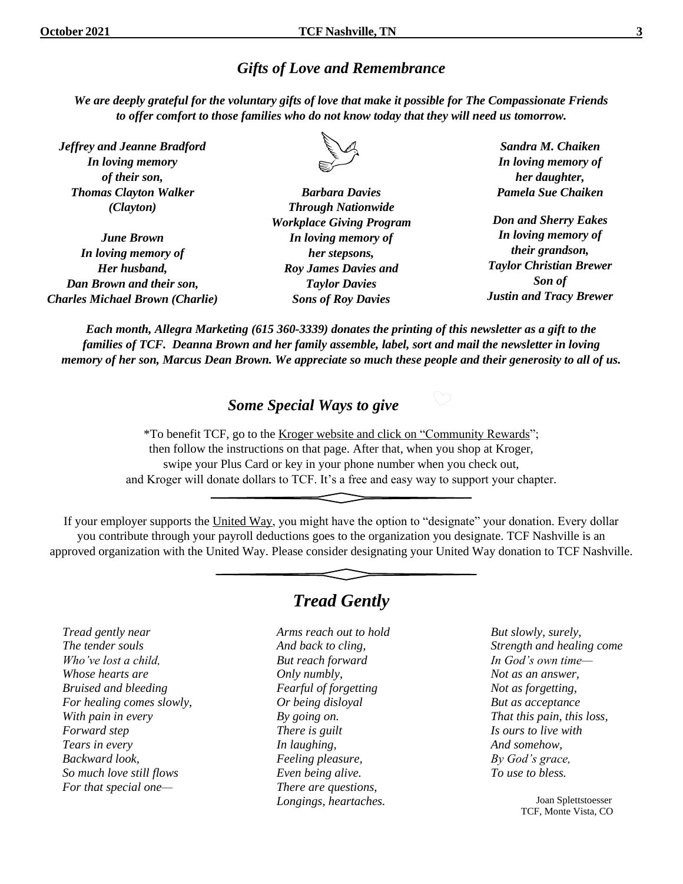#### *Gifts of Love and Remembrance*

*We are deeply grateful for the voluntary gifts of love that make it possible for The Compassionate Friends to offer comfort to those families who do not know today that they will need us tomorrow.*

*Jeffrey and Jeanne Bradford In loving memory of their son, Thomas Clayton Walker (Clayton)*

*June Brown In loving memory of Her husband, Dan Brown and their son, Charles Michael Brown (Charlie)*



*Barbara Davies Through Nationwide Workplace Giving Program In loving memory of her stepsons, Roy James Davies and Taylor Davies Sons of Roy Davies*

*Sandra M. Chaiken In loving memory of her daughter, Pamela Sue Chaiken*

*Don and Sherry Eakes In loving memory of their grandson, Taylor Christian Brewer Son of Justin and Tracy Brewer*

*Each month, Allegra Marketing (615 360-3339) donates the printing of this newsletter as a gift to the families of TCF. Deanna Brown and her family assemble, label, sort and mail the newsletter in loving memory of her son, Marcus Dean Brown. We appreciate so much these people and their generosity to all of us.*

#### *Some Special Ways to give*

\*To benefit TCF, go to the Kroger website and click on "Community Rewards"; then follow the instructions on that page. After that, when you shop at Kroger, swipe your Plus Card or key in your phone number when you check out, and Kroger will donate dollars to TCF. It's a free and easy way to support your chapter.

If your employer supports the United Way, you might have the option to "designate" your donation. Every dollar you contribute through your payroll deductions goes to the organization you designate. TCF Nashville is an approved organization with the United Way. Please consider designating your United Way donation to TCF Nashville.

*Tread gently near The tender souls Who've lost a child, Whose hearts are Bruised and bleeding For healing comes slowly, With pain in every Forward step Tears in every Backward look, So much love still flows For that special one—*

### *Tread Gently*

*Arms reach out to hold And back to cling, But reach forward Only numbly, Fearful of forgetting Or being disloyal By going on. There is guilt In laughing, Feeling pleasure, Even being alive. There are questions, Longings, heartaches.*

*But slowly, surely, Strength and healing come In God's own time— Not as an answer, Not as forgetting, But as acceptance That this pain, this loss, Is ours to live with And somehow, By God's grace, To use to bless.*

> Joan Splettstoesser TCF, Monte Vista, CO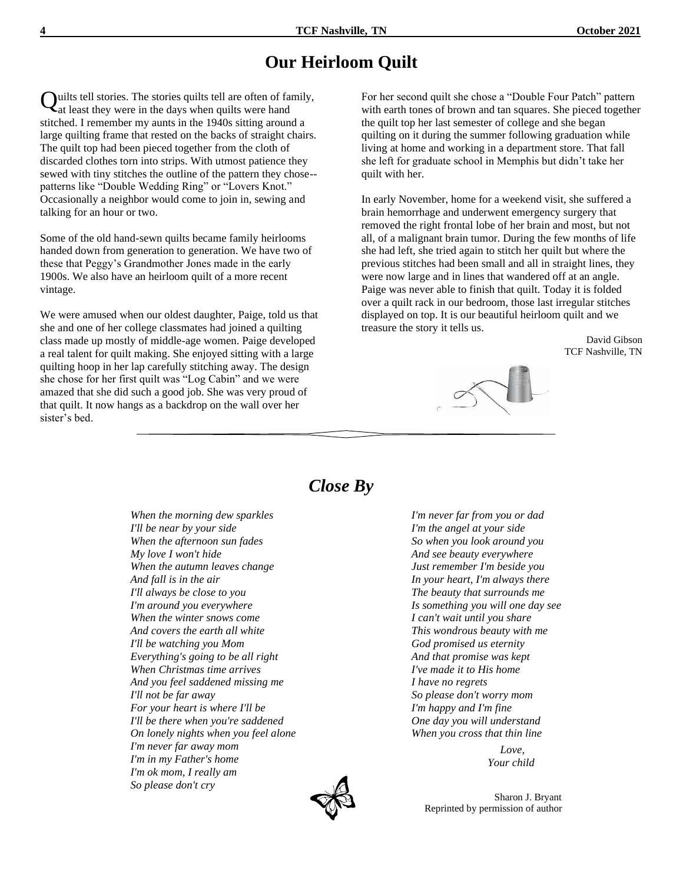#### **Our Heirloom Quilt**

uilts tell stories. The stories quilts tell are often of family, Quilts tell stories. The stories quilts tell are often of far<br>at least they were in the days when quilts were hand stitched. I remember my aunts in the 1940s sitting around a large quilting frame that rested on the backs of straight chairs. The quilt top had been pieced together from the cloth of discarded clothes torn into strips. With utmost patience they sewed with tiny stitches the outline of the pattern they chose- patterns like "Double Wedding Ring" or "Lovers Knot." Occasionally a neighbor would come to join in, sewing and talking for an hour or two.

Some of the old hand-sewn quilts became family heirlooms handed down from generation to generation. We have two of these that Peggy's Grandmother Jones made in the early 1900s. We also have an heirloom quilt of a more recent vintage.

We were amused when our oldest daughter, Paige, told us that she and one of her college classmates had joined a quilting class made up mostly of middle-age women. Paige developed a real talent for quilt making. She enjoyed sitting with a large quilting hoop in her lap carefully stitching away. The design she chose for her first quilt was "Log Cabin" and we were amazed that she did such a good job. She was very proud of that quilt. It now hangs as a backdrop on the wall over her sister's bed.

For her second quilt she chose a "Double Four Patch" pattern with earth tones of brown and tan squares. She pieced together the quilt top her last semester of college and she began quilting on it during the summer following graduation while living at home and working in a department store. That fall she left for graduate school in Memphis but didn't take her quilt with her.

In early November, home for a weekend visit, she suffered a brain hemorrhage and underwent emergency surgery that removed the right frontal lobe of her brain and most, but not all, of a malignant brain tumor. During the few months of life she had left, she tried again to stitch her quilt but where the previous stitches had been small and all in straight lines, they were now large and in lines that wandered off at an angle. Paige was never able to finish that quilt. Today it is folded over a quilt rack in our bedroom, those last irregular stitches displayed on top. It is our beautiful heirloom quilt and we treasure the story it tells us.

> David Gibson TCF Nashville, TN



#### *Close By*

*When the morning dew sparkles I'll be near by your side When the afternoon sun fades My love I won't hide When the autumn leaves change And fall is in the air I'll always be close to you I'm around you everywhere When the winter snows come And covers the earth all white I'll be watching you Mom Everything's going to be all right When Christmas time arrives And you feel saddened missing me I'll not be far away For your heart is where I'll be I'll be there when you're saddened On lonely nights when you feel alone I'm never far away mom I'm in my Father's home I'm ok mom, I really am So please don't cry*

*I'm never far from you or dad I'm the angel at your side So when you look around you And see beauty everywhere Just remember I'm beside you In your heart, I'm always there The beauty that surrounds me Is something you will one day see I can't wait until you share This wondrous beauty with me God promised us eternity And that promise was kept I've made it to His home I have no regrets So please don't worry mom I'm happy and I'm fine One day you will understand When you cross that thin line*

> *Love, Your child*

 Sharon J. Bryant Reprinted by permission of author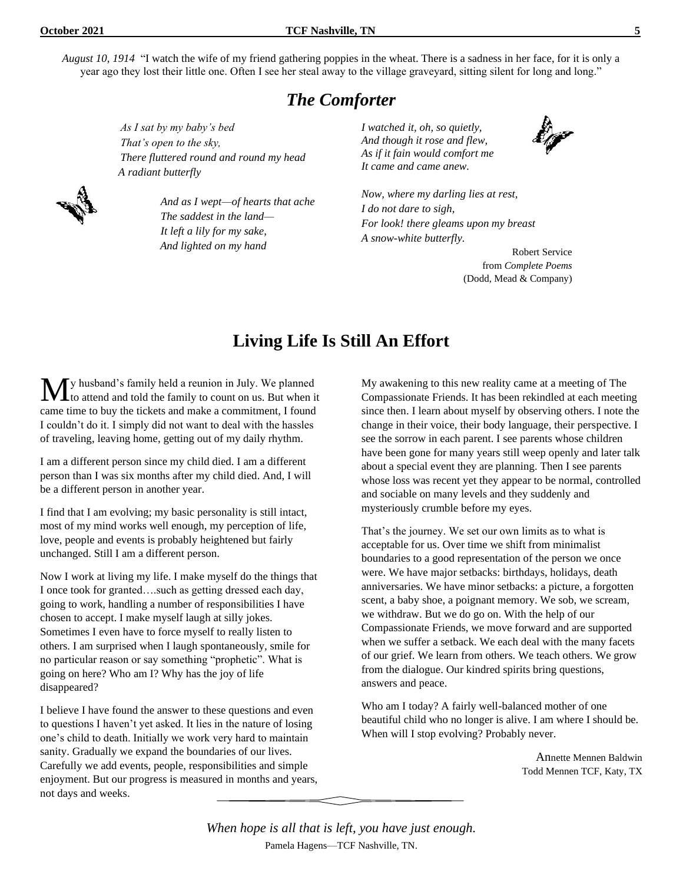*August 10, 1914* "I watch the wife of my friend gathering poppies in the wheat. There is a sadness in her face, for it is only a year ago they lost their little one. Often I see her steal away to the village graveyard, sitting silent for long and long."

#### *The Comforter*

*As I sat by my baby's bed That's open to the sky, There fluttered round and round my head A radiant butterfly*



*And as I wept—of hearts that ache The saddest in the land— It left a lily for my sake, And lighted on my hand*

*I watched it, oh, so quietly, And though it rose and flew, As if it fain would comfort me It came and came anew.*



*Now, where my darling lies at rest, I do not dare to sigh, For look! there gleams upon my breast A snow-white butterfly.*

> Robert Service from *Complete Poems* (Dodd, Mead & Company)

### **Living Life Is Still An Effort**

y husband's family held a reunion in July. We planned to attend and told the family to count on us. But when it came time to buy the tickets and make a commitment, I found I couldn't do it. I simply did not want to deal with the hassles of traveling, leaving home, getting out of my daily rhythm. M

I am a different person since my child died. I am a different person than I was six months after my child died. And, I will be a different person in another year.

I find that I am evolving; my basic personality is still intact, most of my mind works well enough, my perception of life, love, people and events is probably heightened but fairly unchanged. Still I am a different person.

Now I work at living my life. I make myself do the things that I once took for granted….such as getting dressed each day, going to work, handling a number of responsibilities I have chosen to accept. I make myself laugh at silly jokes. Sometimes I even have to force myself to really listen to others. I am surprised when I laugh spontaneously, smile for no particular reason or say something "prophetic". What is going on here? Who am I? Why has the joy of life disappeared?

I believe I have found the answer to these questions and even to questions I haven't yet asked. It lies in the nature of losing one's child to death. Initially we work very hard to maintain sanity. Gradually we expand the boundaries of our lives. Carefully we add events, people, responsibilities and simple enjoyment. But our progress is measured in months and years, not days and weeks.

My awakening to this new reality came at a meeting of The Compassionate Friends. It has been rekindled at each meeting since then. I learn about myself by observing others. I note the change in their voice, their body language, their perspective. I see the sorrow in each parent. I see parents whose children have been gone for many years still weep openly and later talk about a special event they are planning. Then I see parents whose loss was recent yet they appear to be normal, controlled and sociable on many levels and they suddenly and mysteriously crumble before my eyes.

That's the journey. We set our own limits as to what is acceptable for us. Over time we shift from minimalist boundaries to a good representation of the person we once were. We have major setbacks: birthdays, holidays, death anniversaries. We have minor setbacks: a picture, a forgotten scent, a baby shoe, a poignant memory. We sob, we scream, we withdraw. But we do go on. With the help of our Compassionate Friends, we move forward and are supported when we suffer a setback. We each deal with the many facets of our grief. We learn from others. We teach others. We grow from the dialogue. Our kindred spirits bring questions, answers and peace.

Who am I today? A fairly well-balanced mother of one beautiful child who no longer is alive. I am where I should be. When will I stop evolving? Probably never.

> Annette Mennen Baldwin Todd Mennen TCF, Katy, TX

*When hope is all that is left, you have just enough.* Pamela Hagens—TCF Nashville, TN.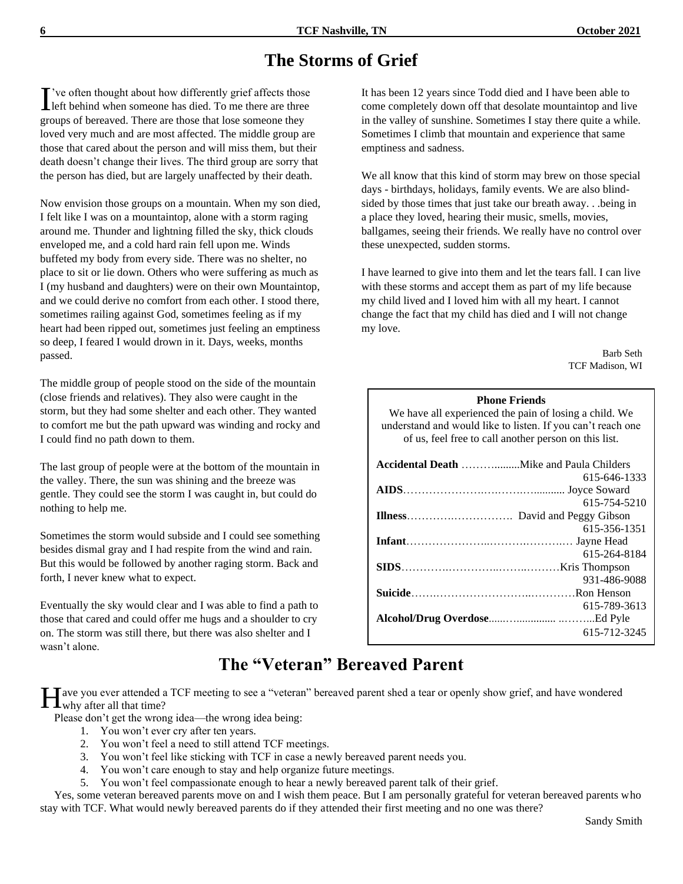# **The Storms of Grief**

've often thought about how differently grief affects those I've often thought about how differently grief affects those<br>left behind when someone has died. To me there are three groups of bereaved. There are those that lose someone they loved very much and are most affected. The middle group are those that cared about the person and will miss them, but their death doesn't change their lives. The third group are sorry that the person has died, but are largely unaffected by their death.

Now envision those groups on a mountain. When my son died, I felt like I was on a mountaintop, alone with a storm raging around me. Thunder and lightning filled the sky, thick clouds enveloped me, and a cold hard rain fell upon me. Winds buffeted my body from every side. There was no shelter, no place to sit or lie down. Others who were suffering as much as I (my husband and daughters) were on their own Mountaintop, and we could derive no comfort from each other. I stood there, sometimes railing against God, sometimes feeling as if my heart had been ripped out, sometimes just feeling an emptiness so deep, I feared I would drown in it. Days, weeks, months passed.

The middle group of people stood on the side of the mountain (close friends and relatives). They also were caught in the storm, but they had some shelter and each other. They wanted to comfort me but the path upward was winding and rocky and I could find no path down to them.

The last group of people were at the bottom of the mountain in the valley. There, the sun was shining and the breeze was gentle. They could see the storm I was caught in, but could do nothing to help me.

Sometimes the storm would subside and I could see something besides dismal gray and I had respite from the wind and rain. But this would be followed by another raging storm. Back and forth, I never knew what to expect.

Eventually the sky would clear and I was able to find a path to those that cared and could offer me hugs and a shoulder to cry on. The storm was still there, but there was also shelter and I wasn't alone.

It has been 12 years since Todd died and I have been able to come completely down off that desolate mountaintop and live in the valley of sunshine. Sometimes I stay there quite a while. Sometimes I climb that mountain and experience that same emptiness and sadness.

We all know that this kind of storm may brew on those special days - birthdays, holidays, family events. We are also blindsided by those times that just take our breath away. . .being in a place they loved, hearing their music, smells, movies, ballgames, seeing their friends. We really have no control over these unexpected, sudden storms.

I have learned to give into them and let the tears fall. I can live with these storms and accept them as part of my life because my child lived and I loved him with all my heart. I cannot change the fact that my child has died and I will not change my love.

> Barb Seth TCF Madison, WI

#### **Phone Friends**

We have all experienced the pain of losing a child. We understand and would like to listen. If you can't reach one of us, feel free to call another person on this list.

| 615-646-1333 |
|--------------|
|              |
| 615-754-5210 |
|              |
| 615-356-1351 |
|              |
| 615-264-8184 |
|              |
| 931-486-9088 |
|              |
| 615-789-3613 |
|              |
| 615-712-3245 |

# **The "Veteran" Bereaved Parent**

Tave you ever attended a TCF meeting to see a "veteran" bereaved parent shed a tear or openly show grief, and have wondered  $\prod$  ave you ever attended a set of why after all that time?

Please don't get the wrong idea—the wrong idea being:

- 1. You won't ever cry after ten years.
- 2. You won't feel a need to still attend TCF meetings.
- 3. You won't feel like sticking with TCF in case a newly bereaved parent needs you.
- 4. You won't care enough to stay and help organize future meetings.
- 5. You won't feel compassionate enough to hear a newly bereaved parent talk of their grief.

 Yes, some veteran bereaved parents move on and I wish them peace. But I am personally grateful for veteran bereaved parents who stay with TCF. What would newly bereaved parents do if they attended their first meeting and no one was there?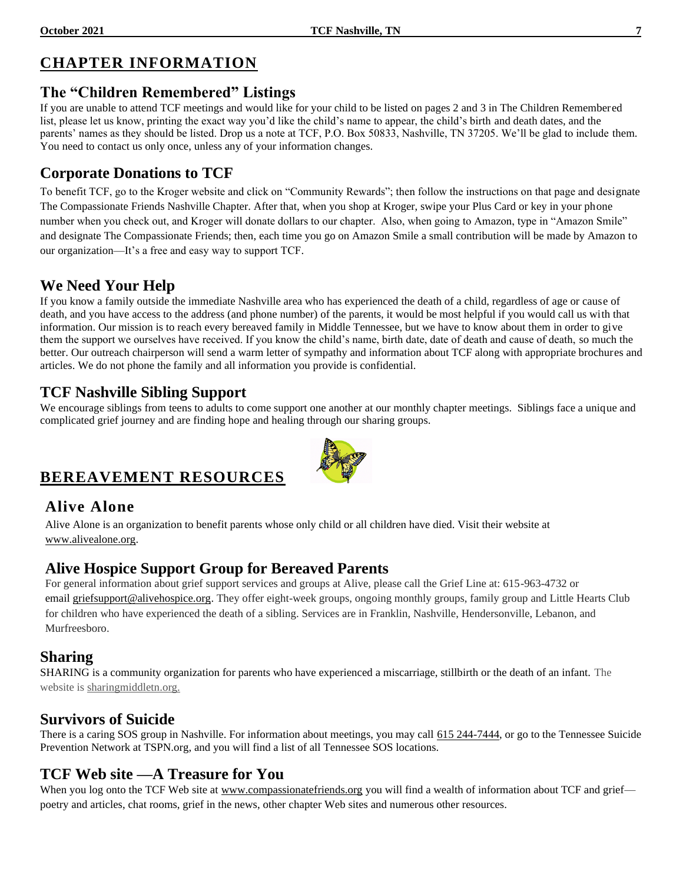### **CHAPTER INFORMATION**

#### **The "Children Remembered" Listings**

If you are unable to attend TCF meetings and would like for your child to be listed on pages 2 and 3 in The Children Remembered list, please let us know, printing the exact way you'd like the child's name to appear, the child's birth and death dates, and the parents' names as they should be listed. Drop us a note at TCF, P.O. Box 50833, Nashville, TN 37205. We'll be glad to include them. You need to contact us only once, unless any of your information changes.

#### **Corporate Donations to TCF**

To benefit TCF, go to the Kroger website and click on "Community Rewards"; then follow the instructions on that page and designate The Compassionate Friends Nashville Chapter. After that, when you shop at Kroger, swipe your Plus Card or key in your phone number when you check out, and Kroger will donate dollars to our chapter. Also, when going to Amazon, type in "Amazon Smile" and designate The Compassionate Friends; then, each time you go on Amazon Smile a small contribution will be made by Amazon to our organization—It's a free and easy way to support TCF.

#### **We Need Your Help**

If you know a family outside the immediate Nashville area who has experienced the death of a child, regardless of age or cause of death, and you have access to the address (and phone number) of the parents, it would be most helpful if you would call us with that information. Our mission is to reach every bereaved family in Middle Tennessee, but we have to know about them in order to give them the support we ourselves have received. If you know the child's name, birth date, date of death and cause of death, so much the better. Our outreach chairperson will send a warm letter of sympathy and information about TCF along with appropriate brochures and articles. We do not phone the family and all information you provide is confidential.

#### **TCF Nashville Sibling Support**

We encourage siblings from teens to adults to come support one another at our monthly chapter meetings. Siblings face a unique and complicated grief journey and are finding hope and healing through our sharing groups.

### **BEREAVEMENT RESOURCES**

#### **Alive Alone**

Alive Alone is an organization to benefit parents whose only child or all children have died. Visit their website at [www.alivealone.org.](http://www.alivealone.org/)

#### **Alive Hospice Support Group for Bereaved Parents**

For general information about grief support services and groups at Alive, please call the Grief Line at: 615-963-4732 or email [griefsupport@alivehospice.org.](mailto:griefsupport@alivehospice.org) They offer eight-week groups, ongoing monthly groups, family group and Little Hearts Club for children who have experienced the death of a sibling. Services are in Franklin, Nashville, Hendersonville, Lebanon, and Murfreesboro.

#### **Sharing**

SHARING is a community organization for parents who have experienced a miscarriage, stillbirth or the death of an infant. The website is sharingmiddletn.org.

#### **Survivors of Suicide**

There is a caring SOS group in Nashville. For information about meetings, you may call 615 244-7444, or go to the Tennessee Suicide Prevention Network at TSPN.org, and you will find a list of all Tennessee SOS locations.

#### **TCF Web site —A Treasure for You**

When you log onto the TCF Web site at [www.compassionatefriends.org](http://www.compassionatefriends.org/) you will find a wealth of information about TCF and grief poetry and articles, chat rooms, grief in the news, other chapter Web sites and numerous other resources.